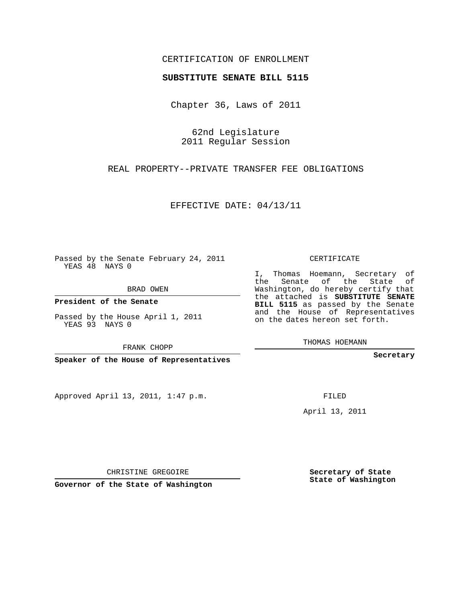## CERTIFICATION OF ENROLLMENT

#### **SUBSTITUTE SENATE BILL 5115**

Chapter 36, Laws of 2011

62nd Legislature 2011 Regular Session

REAL PROPERTY--PRIVATE TRANSFER FEE OBLIGATIONS

EFFECTIVE DATE: 04/13/11

Passed by the Senate February 24, 2011 YEAS 48 NAYS 0

BRAD OWEN

**President of the Senate**

Passed by the House April 1, 2011 YEAS 93 NAYS 0

FRANK CHOPP

**Speaker of the House of Representatives**

Approved April 13, 2011, 1:47 p.m.

CERTIFICATE

I, Thomas Hoemann, Secretary of the Senate of the State of Washington, do hereby certify that the attached is **SUBSTITUTE SENATE BILL 5115** as passed by the Senate and the House of Representatives on the dates hereon set forth.

THOMAS HOEMANN

**Secretary**

FILED

April 13, 2011

**Secretary of State State of Washington**

CHRISTINE GREGOIRE

**Governor of the State of Washington**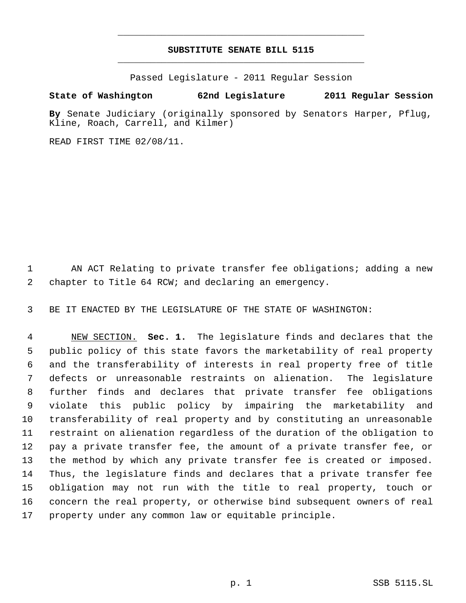# **SUBSTITUTE SENATE BILL 5115** \_\_\_\_\_\_\_\_\_\_\_\_\_\_\_\_\_\_\_\_\_\_\_\_\_\_\_\_\_\_\_\_\_\_\_\_\_\_\_\_\_\_\_\_\_

\_\_\_\_\_\_\_\_\_\_\_\_\_\_\_\_\_\_\_\_\_\_\_\_\_\_\_\_\_\_\_\_\_\_\_\_\_\_\_\_\_\_\_\_\_

Passed Legislature - 2011 Regular Session

### **State of Washington 62nd Legislature 2011 Regular Session**

**By** Senate Judiciary (originally sponsored by Senators Harper, Pflug, Kline, Roach, Carrell, and Kilmer)

READ FIRST TIME 02/08/11.

1 AN ACT Relating to private transfer fee obligations; adding a new chapter to Title 64 RCW; and declaring an emergency.

BE IT ENACTED BY THE LEGISLATURE OF THE STATE OF WASHINGTON:

 NEW SECTION. **Sec. 1.** The legislature finds and declares that the public policy of this state favors the marketability of real property and the transferability of interests in real property free of title defects or unreasonable restraints on alienation. The legislature further finds and declares that private transfer fee obligations violate this public policy by impairing the marketability and transferability of real property and by constituting an unreasonable restraint on alienation regardless of the duration of the obligation to pay a private transfer fee, the amount of a private transfer fee, or the method by which any private transfer fee is created or imposed. Thus, the legislature finds and declares that a private transfer fee obligation may not run with the title to real property, touch or concern the real property, or otherwise bind subsequent owners of real property under any common law or equitable principle.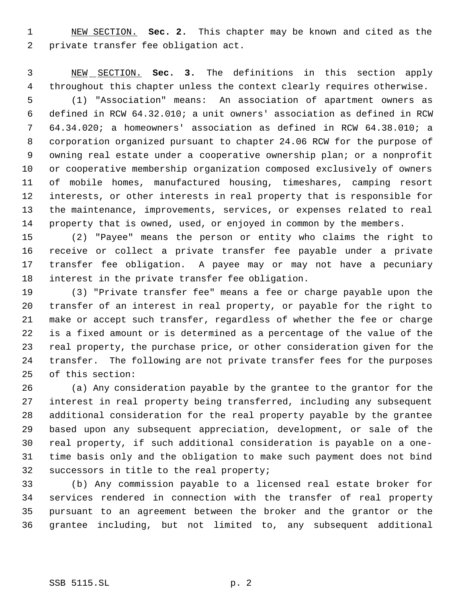NEW SECTION. **Sec. 2.** This chapter may be known and cited as the private transfer fee obligation act.

 NEW SECTION. **Sec. 3.** The definitions in this section apply throughout this chapter unless the context clearly requires otherwise.

 (1) "Association" means: An association of apartment owners as defined in RCW 64.32.010; a unit owners' association as defined in RCW 64.34.020; a homeowners' association as defined in RCW 64.38.010; a corporation organized pursuant to chapter 24.06 RCW for the purpose of owning real estate under a cooperative ownership plan; or a nonprofit or cooperative membership organization composed exclusively of owners of mobile homes, manufactured housing, timeshares, camping resort interests, or other interests in real property that is responsible for the maintenance, improvements, services, or expenses related to real property that is owned, used, or enjoyed in common by the members.

 (2) "Payee" means the person or entity who claims the right to receive or collect a private transfer fee payable under a private transfer fee obligation. A payee may or may not have a pecuniary interest in the private transfer fee obligation.

 (3) "Private transfer fee" means a fee or charge payable upon the transfer of an interest in real property, or payable for the right to make or accept such transfer, regardless of whether the fee or charge is a fixed amount or is determined as a percentage of the value of the real property, the purchase price, or other consideration given for the transfer. The following are not private transfer fees for the purposes of this section:

 (a) Any consideration payable by the grantee to the grantor for the interest in real property being transferred, including any subsequent additional consideration for the real property payable by the grantee based upon any subsequent appreciation, development, or sale of the real property, if such additional consideration is payable on a one- time basis only and the obligation to make such payment does not bind successors in title to the real property;

 (b) Any commission payable to a licensed real estate broker for services rendered in connection with the transfer of real property pursuant to an agreement between the broker and the grantor or the grantee including, but not limited to, any subsequent additional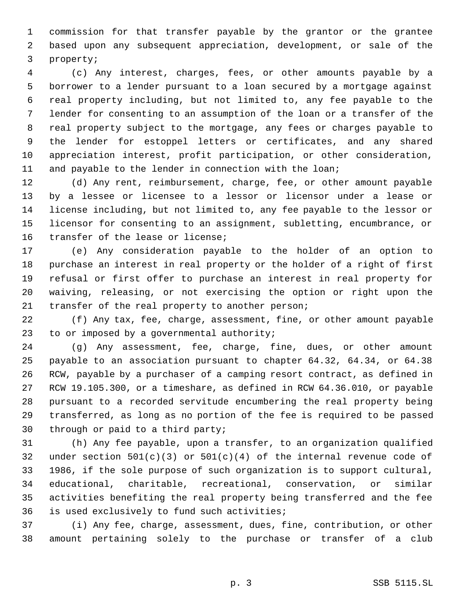commission for that transfer payable by the grantor or the grantee based upon any subsequent appreciation, development, or sale of the property;

 (c) Any interest, charges, fees, or other amounts payable by a borrower to a lender pursuant to a loan secured by a mortgage against real property including, but not limited to, any fee payable to the lender for consenting to an assumption of the loan or a transfer of the real property subject to the mortgage, any fees or charges payable to the lender for estoppel letters or certificates, and any shared appreciation interest, profit participation, or other consideration, 11 and payable to the lender in connection with the loan;

 (d) Any rent, reimbursement, charge, fee, or other amount payable by a lessee or licensee to a lessor or licensor under a lease or license including, but not limited to, any fee payable to the lessor or licensor for consenting to an assignment, subletting, encumbrance, or transfer of the lease or license;

 (e) Any consideration payable to the holder of an option to purchase an interest in real property or the holder of a right of first refusal or first offer to purchase an interest in real property for waiving, releasing, or not exercising the option or right upon the transfer of the real property to another person;

 (f) Any tax, fee, charge, assessment, fine, or other amount payable to or imposed by a governmental authority;

 (g) Any assessment, fee, charge, fine, dues, or other amount payable to an association pursuant to chapter 64.32, 64.34, or 64.38 RCW, payable by a purchaser of a camping resort contract, as defined in RCW 19.105.300, or a timeshare, as defined in RCW 64.36.010, or payable pursuant to a recorded servitude encumbering the real property being transferred, as long as no portion of the fee is required to be passed through or paid to a third party;

 (h) Any fee payable, upon a transfer, to an organization qualified 32 under section  $501(c)(3)$  or  $501(c)(4)$  of the internal revenue code of 1986, if the sole purpose of such organization is to support cultural, educational, charitable, recreational, conservation, or similar activities benefiting the real property being transferred and the fee is used exclusively to fund such activities;

 (i) Any fee, charge, assessment, dues, fine, contribution, or other amount pertaining solely to the purchase or transfer of a club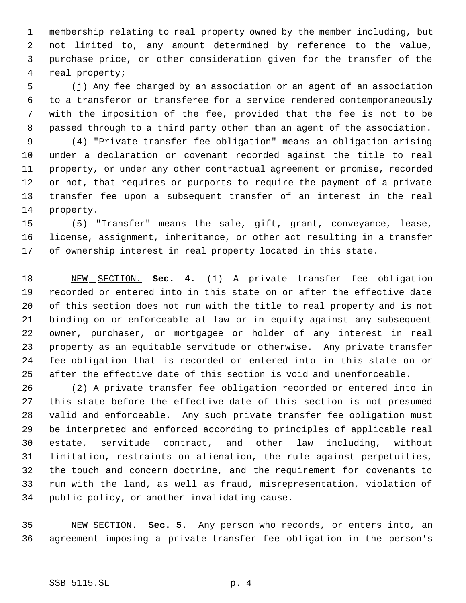membership relating to real property owned by the member including, but not limited to, any amount determined by reference to the value, purchase price, or other consideration given for the transfer of the real property;

 (j) Any fee charged by an association or an agent of an association to a transferor or transferee for a service rendered contemporaneously with the imposition of the fee, provided that the fee is not to be passed through to a third party other than an agent of the association.

 (4) "Private transfer fee obligation" means an obligation arising under a declaration or covenant recorded against the title to real property, or under any other contractual agreement or promise, recorded or not, that requires or purports to require the payment of a private transfer fee upon a subsequent transfer of an interest in the real property.

 (5) "Transfer" means the sale, gift, grant, conveyance, lease, license, assignment, inheritance, or other act resulting in a transfer of ownership interest in real property located in this state.

 NEW SECTION. **Sec. 4.** (1) A private transfer fee obligation recorded or entered into in this state on or after the effective date of this section does not run with the title to real property and is not binding on or enforceable at law or in equity against any subsequent owner, purchaser, or mortgagee or holder of any interest in real property as an equitable servitude or otherwise. Any private transfer fee obligation that is recorded or entered into in this state on or after the effective date of this section is void and unenforceable.

 (2) A private transfer fee obligation recorded or entered into in this state before the effective date of this section is not presumed valid and enforceable. Any such private transfer fee obligation must be interpreted and enforced according to principles of applicable real estate, servitude contract, and other law including, without limitation, restraints on alienation, the rule against perpetuities, the touch and concern doctrine, and the requirement for covenants to run with the land, as well as fraud, misrepresentation, violation of public policy, or another invalidating cause.

 NEW SECTION. **Sec. 5.** Any person who records, or enters into, an agreement imposing a private transfer fee obligation in the person's

### SSB 5115.SL p. 4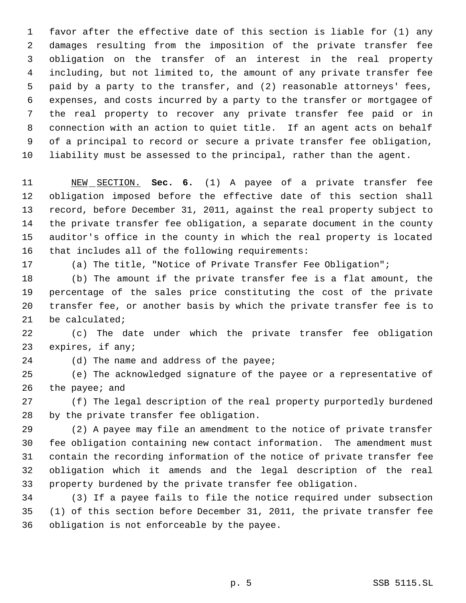favor after the effective date of this section is liable for (1) any damages resulting from the imposition of the private transfer fee obligation on the transfer of an interest in the real property including, but not limited to, the amount of any private transfer fee paid by a party to the transfer, and (2) reasonable attorneys' fees, expenses, and costs incurred by a party to the transfer or mortgagee of the real property to recover any private transfer fee paid or in connection with an action to quiet title. If an agent acts on behalf of a principal to record or secure a private transfer fee obligation, liability must be assessed to the principal, rather than the agent.

 NEW SECTION. **Sec. 6.** (1) A payee of a private transfer fee obligation imposed before the effective date of this section shall record, before December 31, 2011, against the real property subject to the private transfer fee obligation, a separate document in the county auditor's office in the county in which the real property is located that includes all of the following requirements:

(a) The title, "Notice of Private Transfer Fee Obligation";

 (b) The amount if the private transfer fee is a flat amount, the percentage of the sales price constituting the cost of the private transfer fee, or another basis by which the private transfer fee is to be calculated;

 (c) The date under which the private transfer fee obligation expires, if any;

24 (d) The name and address of the payee;

 (e) The acknowledged signature of the payee or a representative of 26 the payee; and

 (f) The legal description of the real property purportedly burdened by the private transfer fee obligation.

 (2) A payee may file an amendment to the notice of private transfer fee obligation containing new contact information. The amendment must contain the recording information of the notice of private transfer fee obligation which it amends and the legal description of the real property burdened by the private transfer fee obligation.

 (3) If a payee fails to file the notice required under subsection (1) of this section before December 31, 2011, the private transfer fee obligation is not enforceable by the payee.